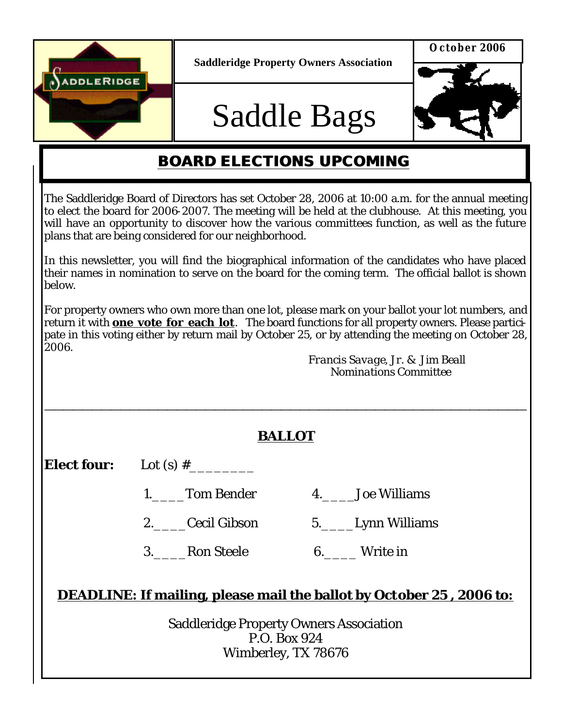

**Saddleridge Property Owners Association**

# Saddle Bags



### **BOARD ELECTIONS UPCOMING**

The Saddleridge Board of Directors has set October 28, 2006 at 10:00 a.m. for the annual meeting to elect the board for 2006-2007. The meeting will be held at the clubhouse. At this meeting, you will have an opportunity to discover how the various committees function, as well as the future plans that are being considered for our neighborhood.

In this newsletter, you will find the biographical information of the candidates who have placed their names in nomination to serve on the board for the coming term. The official ballot is shown below.

For property owners who own more than one lot, please mark on your ballot your lot numbers, and return it with **one vote for each lot**. The board functions for all property owners. Please participate in this voting either by return mail by October 25, or by attending the meeting on October 28, 2006.

 *Francis Savage, Jr. & Jim Beall Nominations Committee*

| <b>BALLOT</b>                                                                  |                 |                  |
|--------------------------------------------------------------------------------|-----------------|------------------|
|                                                                                |                 |                  |
|                                                                                | 1. Tom Bender   | 4. Joe Williams  |
|                                                                                | 2. Cecil Gibson | 5. Lynn Williams |
|                                                                                | 3. Ron Steele   | 6. Write in      |
| <b>DEADLINE: If mailing, please mail the ballot by October 25, 2006 to:</b>    |                 |                  |
| Saddleridge Property Owners Association<br>P.O. Box 924<br>Wimberley, TX 78676 |                 |                  |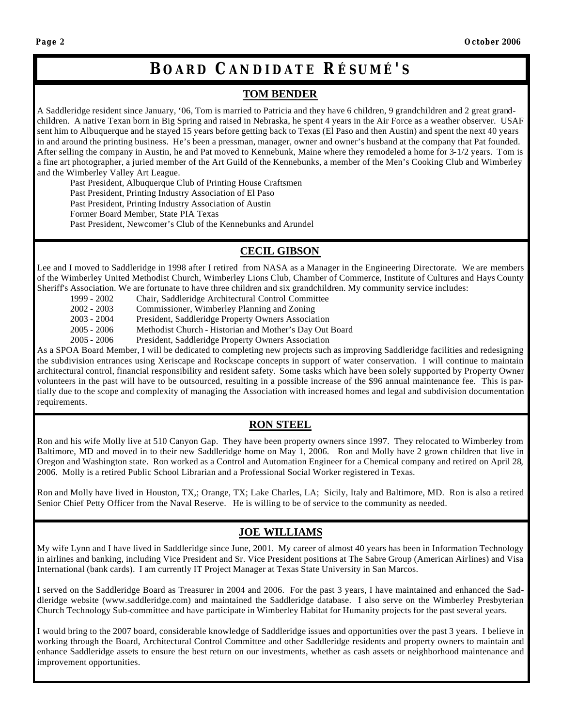### **BOARD CANDIDATE R ÉSUMÉ ' S**

#### **TOM BENDER**

A Saddleridge resident since January, '06, Tom is married to Patricia and they have 6 children, 9 grandchildren and 2 great grandchildren. A native Texan born in Big Spring and raised in Nebraska, he spent 4 years in the Air Force as a weather observer. USAF sent him to Albuquerque and he stayed 15 years before getting back to Texas (El Paso and then Austin) and spent the next 40 years in and around the printing business. He's been a pressman, manager, owner and owner's husband at the company that Pat founded. After selling the company in Austin, he and Pat moved to Kennebunk, Maine where they remodeled a home for 3-1/2 years. Tom is a fine art photographer, a juried member of the Art Guild of the Kennebunks, a member of the Men's Cooking Club and Wimberley and the Wimberley Valley Art League.

Past President, Albuquerque Club of Printing House Craftsmen

Past President, Printing Industry Association of El Paso

Past President, Printing Industry Association of Austin

Former Board Member, State PIA Texas

Past President, Newcomer's Club of the Kennebunks and Arundel

#### **CECIL GIBSON**

Lee and I moved to Saddleridge in 1998 after I retired from NASA as a Manager in the Engineering Directorate. We are members of the Wimberley United Methodist Church, Wimberley Lions Club, Chamber of Commerce, Institute of Cultures and Hays County Sheriff's Association. We are fortunate to have three children and six grandchildren. My community service includes:

- 1999 2002 Chair, Saddleridge Architectural Control Committee
- 2002 2003 Commissioner, Wimberley Planning and Zoning
- 2003 2004 President, Saddleridge Property Owners Association
- 2005 2006 Methodist Church Historian and Mother's Day Out Board
- 2005 2006 President, Saddleridge Property Owners Association

As a SPOA Board Member, I will be dedicated to completing new projects such as improving Saddleridge facilities and redesigning the subdivision entrances using Xeriscape and Rockscape concepts in support of water conservation. I will continue to maintain architectural control, financial responsibility and resident safety. Some tasks which have been solely supported by Property Owner volunteers in the past will have to be outsourced, resulting in a possible increase of the \$96 annual maintenance fee. This is partially due to the scope and complexity of managing the Association with increased homes and legal and subdivision documentation requirements.

#### **RON STEEL**

Ron and his wife Molly live at 510 Canyon Gap. They have been property owners since 1997. They relocated to Wimberley from Baltimore, MD and moved in to their new Saddleridge home on May 1, 2006. Ron and Molly have 2 grown children that live in Oregon and Washington state. Ron worked as a Control and Automation Engineer for a Chemical company and retired on April 28, 2006. Molly is a retired Public School Librarian and a Professional Social Worker registered in Texas.

Ron and Molly have lived in Houston, TX,; Orange, TX; Lake Charles, LA; Sicily, Italy and Baltimore, MD. Ron is also a retired Senior Chief Petty Officer from the Naval Reserve. He is willing to be of service to the community as needed.

#### **JOE WILLIAMS**

My wife Lynn and I have lived in Saddleridge since June, 2001. My career of almost 40 years has been in Information Technology in airlines and banking, including Vice President and Sr. Vice President positions at The Sabre Group (American Airlines) and Visa International (bank cards). I am currently IT Project Manager at Texas State University in San Marcos.

I served on the Saddleridge Board as Treasurer in 2004 and 2006. For the past 3 years, I have maintained and enhanced the Saddleridge website (www.saddleridge.com) and maintained the Saddleridge database. I also serve on the Wimberley Presbyterian Church Technology Sub-committee and have participate in Wimberley Habitat for Humanity projects for the past several years.

I would bring to the 2007 board, considerable knowledge of Saddleridge issues and opportunities over the past 3 years. I believe in working through the Board, Architectural Control Committee and other Saddleridge residents and property owners to maintain and enhance Saddleridge assets to ensure the best return on our investments, whether as cash assets or neighborhood maintenance and improvement opportunities.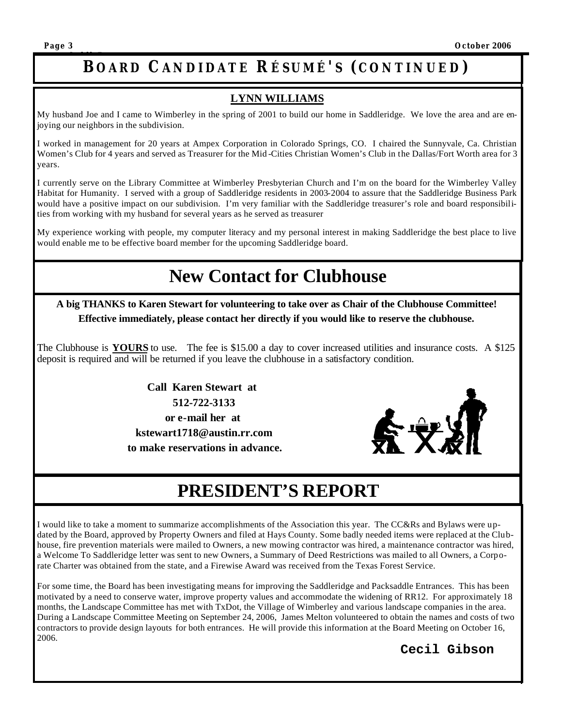#### **SaddleBags BOARD CANDIDATE R ÉSUMÉ ' S ( CONTINUED )**

#### **LYNN WILLIAMS**

My husband Joe and I came to Wimberley in the spring of 2001 to build our home in Saddleridge. We love the area and are enjoying our neighbors in the subdivision.

I worked in management for 20 years at Ampex Corporation in Colorado Springs, CO. I chaired the Sunnyvale, Ca. Christian Women's Club for 4 years and served as Treasurer for the Mid -Cities Christian Women's Club in the Dallas/Fort Worth area for 3 years.

I currently serve on the Library Committee at Wimberley Presbyterian Church and I'm on the board for the Wimberley Valley Habitat for Humanity. I served with a group of Saddleridge residents in 2003-2004 to assure that the Saddleridge Business Park would have a positive impact on our subdivision. I'm very familiar with the Saddleridge treasurer's role and board responsibilities from working with my husband for several years as he served as treasurer

My experience working with people, my computer literacy and my personal interest in making Saddleridge the best place to live would enable me to be effective board member for the upcoming Saddleridge board.

### **New Contact for Clubhouse**

**A big THANKS to Karen Stewart for volunteering to take over as Chair of the Clubhouse Committee! Effective immediately, please contact her directly if you would like to reserve the clubhouse.**

The Clubhouse is **YOURS** to use. The fee is \$15.00 a day to cover increased utilities and insurance costs. A \$125 deposit is required and will be returned if you leave the clubhouse in a satisfactory condition.

> **Call Karen Stewart at 512-722-3133 or e-mail her at kstewart1718@austin.rr.com to make reservations in advance.**



## **PRESIDENT'S REPORT**

I would like to take a moment to summarize accomplishments of the Association this year. The CC&Rs and Bylaws were updated by the Board, approved by Property Owners and filed at Hays County. Some badly needed items were replaced at the Clubhouse, fire prevention materials were mailed to Owners, a new mowing contractor was hired, a maintenance contractor was hired, a Welcome To Saddleridge letter was sent to new Owners, a Summary of Deed Restrictions was mailed to all Owners, a Corporate Charter was obtained from the state, and a Firewise Award was received from the Texas Forest Service.

For some time, the Board has been investigating means for improving the Saddleridge and Packsaddle Entrances. This has been motivated by a need to conserve water, improve property values and accommodate the widening of RR12. For approximately 18 months, the Landscape Committee has met with TxDot, the Village of Wimberley and various landscape companies in the area. During a Landscape Committee Meeting on September 24, 2006, James Melton volunteered to obtain the names and costs of two contractors to provide design layouts for both entrances. He will provide this information at the Board Meeting on October 16, 2006.

#### **Cecil Gibson**